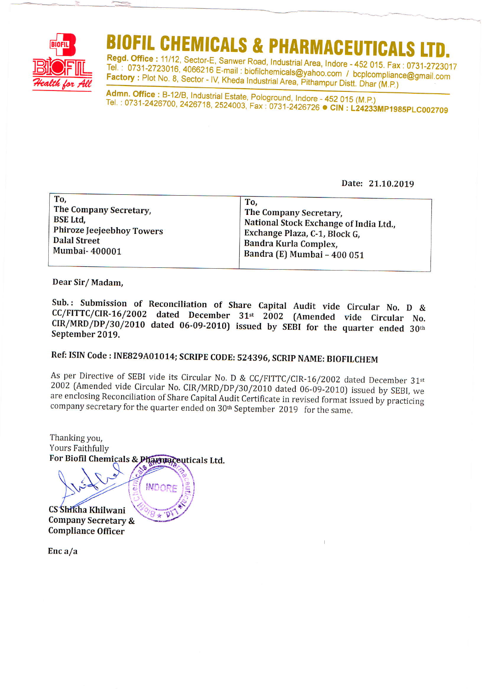

# OFIL CHEMICALS & PHARMACEUTICA

Regd. Office: 11/12, Sector-E, Sanwer Road, Industrial Area, Indore - 452 015. Fax: 0731-2723017 Tel.: 0731-2723016, 4066216 E-mail: biofilchemicals@yahoo.com / bcplcompliance@gmail.com Factory: Plot No. 8, Sector - IV, Kheda Industrial Area, Pithampur Distt. Dhar (M.P.)

Admn. Office: B-12/B, Industrial Estate, Pologround, Indore - 452 015 (M.P.) Tel.: 0731-2426700, 2426718, 2524003, Fax: 0731-2426726 CIN: L24233MP1985PLC002709

Date: 21.10.2019

| To,<br>The Company Secretary,<br><b>BSE Ltd.</b><br>Phiroze Jeejeebhoy Towers<br><b>Dalal Street</b><br>Mumbai-400001 | To,<br>The Company Secretary,<br>National Stock Exchange of India Ltd.,<br>Exchange Plaza, C-1, Block G,<br><b>Bandra Kurla Complex,</b><br>Bandra (E) Mumbai - 400 051 |  |
|-----------------------------------------------------------------------------------------------------------------------|-------------------------------------------------------------------------------------------------------------------------------------------------------------------------|--|
|-----------------------------------------------------------------------------------------------------------------------|-------------------------------------------------------------------------------------------------------------------------------------------------------------------------|--|

Dear Sir/Madam,

Sub.: Submission of Reconciliation of Share Capital Audit vide Circular No. D & CC/FITTC/CIR-16/2002 dated December 31st 2002 (Amended vide Circular No.  $CIR/MRD/DP/30/2010$  dated 06-09-2010) issued by SEBI for the quarter ended 30th September 2019.

# Ref: ISIN Code: INE829A01014; SCRIPE CODE: 524396, SCRIP NAME: BIOFILCHEM

As per Directive of SEBI vide its Circular No. D & CC/FITTC/CIR-16/2002 dated December 31st 2002 (Amended vide Circular No. CIR/MRD/DP/30/2010 dated 06-09-2010) issued by SEBI, we are enclosing Reconciliation of Share Capital Audit Certificate in revised format issued by practicing company secretary for the quarter ended on 30<sup>th</sup> September 2019 for the same.

Thanking you, **Yours Faithfully** For Biofil Chemicals & Pharmaceuticals Ltd.

**INDOR** 

CS Shikha Khilwani **Company Secretary & Compliance Officer** 

 $Enc a/a$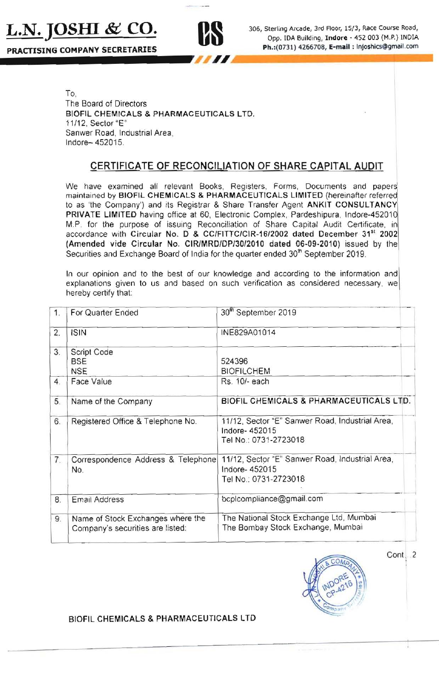



**L.N. JOSHI & CO.** 306, Sterling Arcade, 3rd Floor, 15/3, Race Course Road, Opp. IDA Building, Indore - 452 003 (M.P.) INDIA<br>PRACTISING COMPANY SECRETARIES Opp. IDA Building, Indore - 452 003 (M.P.) INDIA

> To, The Board of Directors BIOFIL CHEMICALS & PHARMACEUTICALS LTD, 11112, Seclor "E" Sanwer Road, Industrial Area, Indore-452015.

## CERTIFICATE OF RECONCILIATION OF SHARE CAPITAL AUDIT

We have examined all relevant Books, Registers, Forms, Documents and papers maintained by BIOFIL CHEMICALS & PHARMACEUTICALS LIMITED (hereinafter referred to as 'the Company') and its Registrar & Share Transfer Agent ANKIT CONSULTANCY PRIVATE LIMITED having office at 60, Electronic Complex, Pardeshipura, Indore-452010 M.P. for the purpose of issuing Reconciliation of Share Capital Audit Certificate, in accordance with Circular No. D & CC/FITTC/CIR-16/2002 dated December 31<sup>st</sup> 2002 (Amended vide Circular No, CIRlMRD/DP/30/2010 dated 06·09·2010) issued by the Securities and Exchange Board of India for the quarter ended 30<sup>th</sup> September 2019,

In our opinion and to the best of our knowledge and according to the information and explanations given to us and based on such verification as considered necessary . we hereby certify that:

| 1.             | For Quarter Ended                                                     | 30th September 2019                                                                       |  |  |
|----------------|-----------------------------------------------------------------------|-------------------------------------------------------------------------------------------|--|--|
| 2.             | <b>ISIN</b>                                                           | INE829A01014                                                                              |  |  |
| 3.             | Script Code<br><b>BSE</b><br><b>NSE</b>                               | 524396<br><b>BIOFILCHEM</b>                                                               |  |  |
| 4.             | Face Value                                                            | Rs. 10/- each                                                                             |  |  |
| 5.             | Name of the Company                                                   | BIOFIL CHEMICALS & PHARMACEUTICALS LTD.                                                   |  |  |
| 6.             | Registered Office & Telephone No.                                     | 11/12, Sector "E" Sanwer Road, Industrial Area,<br>Indore-452015<br>Tel No.: 0731-2723018 |  |  |
| 7 <sub>1</sub> | Correspondence Address & Telephone<br>No.                             | 11/12, Sector "E" Sanwer Road, Industrial Area,<br>Indore-452015<br>Tel No.: 0731-2723018 |  |  |
| 8.             | <b>Email Address</b>                                                  | bcplcompliance@gmail.com                                                                  |  |  |
| 9.             | Name of Stock Exchanges where the<br>Company's securities are listed: | The National Stock Exchange Ltd, Mumbai<br>The Bombay Stock Exchange, Mumbai              |  |  |



Cont.<sub>2</sub>

BIOFIL CHEMICALS & PHARMACEUTICALS LTD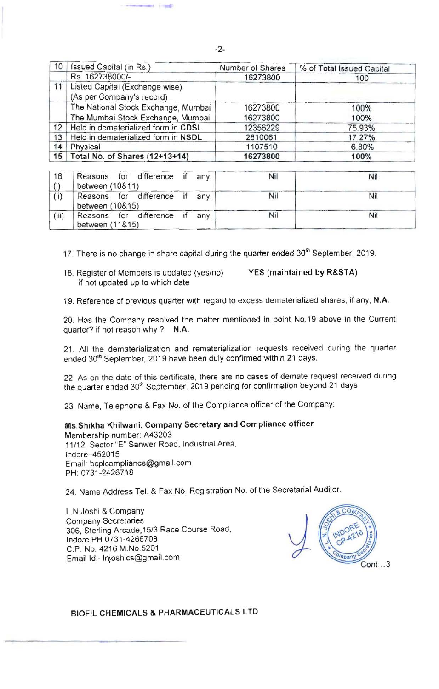| 10 | Issued Capital (in Rs.)                                     | Number of Shares | % of Total Issued Capital |
|----|-------------------------------------------------------------|------------------|---------------------------|
|    | Rs. 162738000/-                                             | 16273800         | 100                       |
| 11 | Listed Capital (Exchange wise)<br>(As per Company's record) |                  |                           |
|    | The National Stock Exchange, Mumbai                         | 16273800         | 100%                      |
|    | The Mumbai Stock Exchange, Mumbai                           | 16273800         | 100%                      |
| 12 | Held in dematerialized form in CDSL                         | 12356229         | 75.93%                    |
| 13 | Held in dematerialized form in NSDL                         | 2810061          | 17.27%                    |
| 14 | Physical                                                    | 1107510          | 6.80%                     |
| 15 | Total No. of Shares (12+13+14)                              | 16273800         | 100%                      |

| 16<br>(i) | Reasons for difference if<br>between (10&11)      | any. | Nil | Nil |
|-----------|---------------------------------------------------|------|-----|-----|
| (ii)      | Reasons for difference if any,<br>between (10&15) |      | Nil | Nil |
| (iii)     | Reasons for difference if any,<br>between (11&15) |      | Nil | Nil |

17. There is no change in share capital during the quarter ended 30<sup>th</sup> September, 2019.

18. Register 01 Members is updated (yes/no) YES (maintained by R&STA) if not updated up to which date

\*\*\*\*\*\*

19. Reference of previous quarter with regard to excess dematerialized shares, if any. N.A.

20. Has the Company resolved the matter mentioned in point No.19 above in the Current quarter? if not reason why? N.A.

21. All the dematerialization and rematerialization requests received during the quarter ended 30<sup>th</sup> September, 2019 have been duly confirmed within 21 days.

22. As on the date of this certificate, there are no cases of demate request received during the quarter ended 30<sup>th</sup> September, 2019 pending for confirmation beyond 21 days

23. Name, Telephone & Fax No. of the Compliance officer of the Company:

Ms.Shikha Khilwani, Company Secretary and Compliance officer

Membership number: A43203 11/12, Sector "E" Sanwer Road, Industrial Area, Indore-452015 Email: bcplcompliance@gmail.com PH: 0731-2426718

24. Name Address Tel. & Fax No. Registration No. of the Secretarial Auditor.

L.N.Joshi & Company Company Secretaries 306, Sterling Arcade, 15/3 Race Course Road, Indore PH 0731 -4266708 C.P. No. 4216 M.No.5201 Emailld:-lnjoshics@gmail.com .. 3



BIOFIL CHEMICALS & PHARMACEUTICALS LTD